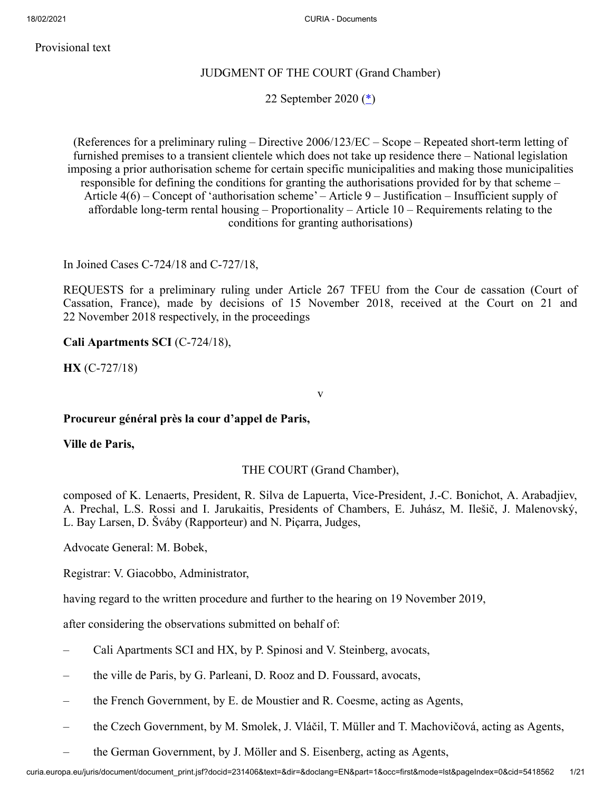Provisional text

## JUDGMENT OF THE COURT (Grand Chamber)

<span id="page-0-0"></span>22 September 2020 ([\\*\)](#page-20-0)

(References for a preliminary ruling – Directive 2006/123/EC – Scope – Repeated short-term letting of furnished premises to a transient clientele which does not take up residence there – National legislation imposing a prior authorisation scheme for certain specific municipalities and making those municipalities responsible for defining the conditions for granting the authorisations provided for by that scheme – Article 4(6) – Concept of 'authorisation scheme' – Article 9 – Justification – Insufficient supply of affordable long-term rental housing – Proportionality – Article 10 – Requirements relating to the conditions for granting authorisations)

In Joined Cases C‑724/18 and C‑727/18,

REQUESTS for a preliminary ruling under Article 267 TFEU from the Cour de cassation (Court of Cassation, France), made by decisions of 15 November 2018, received at the Court on 21 and 22 November 2018 respectively, in the proceedings

**Cali Apartments SCI** (C‑724/18),

**HX** (C‑727/18)

v

**Procureur général près la cour d'appel de Paris,**

**Ville de Paris,**

# THE COURT (Grand Chamber),

composed of K. Lenaerts, President, R. Silva de Lapuerta, Vice-President, J.‑C. Bonichot, A. Arabadjiev, A. Prechal, L.S. Rossi and I. Jarukaitis, Presidents of Chambers, E. Juhász, M. Ilešič, J. Malenovský, L. Bay Larsen, D. Šváby (Rapporteur) and N. Piçarra, Judges,

Advocate General: M. Bobek,

Registrar: V. Giacobbo, Administrator,

having regard to the written procedure and further to the hearing on 19 November 2019,

after considering the observations submitted on behalf of:

- Cali Apartments SCI and HX, by P. Spinosi and V. Steinberg, avocats,
- the ville de Paris, by G. Parleani, D. Rooz and D. Foussard, avocats,
- the French Government, by E. de Moustier and R. Coesme, acting as Agents,
- the Czech Government, by M. Smolek, J. Vláčil, T. Müller and T. Machovičová, acting as Agents,
- the German Government, by J. Möller and S. Eisenberg, acting as Agents,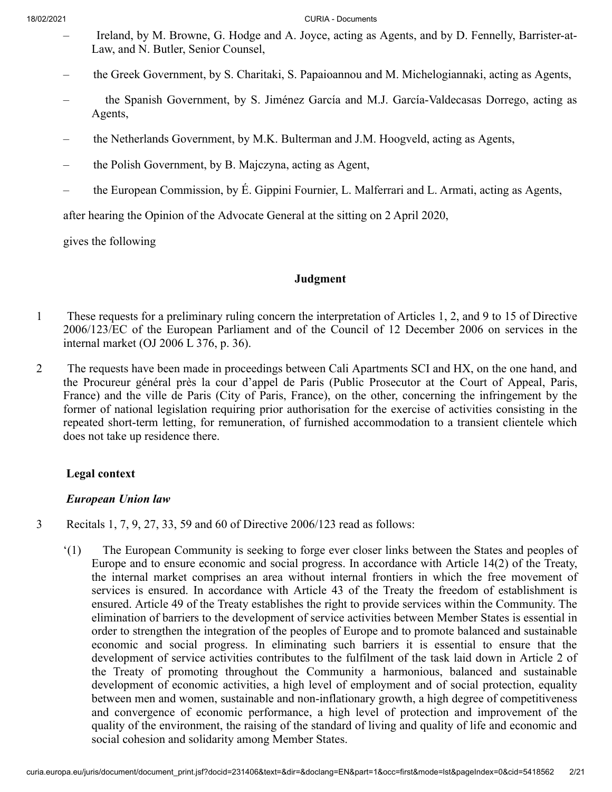- Ireland, by M. Browne, G. Hodge and A. Joyce, acting as Agents, and by D. Fennelly, Barrister-at-Law, and N. Butler, Senior Counsel,
- the Greek Government, by S. Charitaki, S. Papaioannou and M. Michelogiannaki, acting as Agents,
- the Spanish Government, by S. Jiménez García and M.J. García-Valdecasas Dorrego, acting as Agents,
- the Netherlands Government, by M.K. Bulterman and J.M. Hoogveld, acting as Agents,
- the Polish Government, by B. Majczyna, acting as Agent,
- the European Commission, by É. Gippini Fournier, L. Malferrari and L. Armati, acting as Agents,

after hearing the Opinion of the Advocate General at the sitting on 2 April 2020,

gives the following

## **Judgment**

- 1 These requests for a preliminary ruling concern the interpretation of Articles 1, 2, and 9 to 15 of Directive 2006/123/EC of the European Parliament and of the Council of 12 December 2006 on services in the internal market (OJ 2006 L 376, p. 36).
- 2 The requests have been made in proceedings between Cali Apartments SCI and HX, on the one hand, and the Procureur général près la cour d'appel de Paris (Public Prosecutor at the Court of Appeal, Paris, France) and the ville de Paris (City of Paris, France), on the other, concerning the infringement by the former of national legislation requiring prior authorisation for the exercise of activities consisting in the repeated short-term letting, for remuneration, of furnished accommodation to a transient clientele which does not take up residence there.

## **Legal context**

## *European Union law*

- 3 Recitals 1, 7, 9, 27, 33, 59 and 60 of Directive 2006/123 read as follows:
	- '(1) The European Community is seeking to forge ever closer links between the States and peoples of Europe and to ensure economic and social progress. In accordance with Article 14(2) of the Treaty, the internal market comprises an area without internal frontiers in which the free movement of services is ensured. In accordance with Article 43 of the Treaty the freedom of establishment is ensured. Article 49 of the Treaty establishes the right to provide services within the Community. The elimination of barriers to the development of service activities between Member States is essential in order to strengthen the integration of the peoples of Europe and to promote balanced and sustainable economic and social progress. In eliminating such barriers it is essential to ensure that the development of service activities contributes to the fulfilment of the task laid down in Article 2 of the Treaty of promoting throughout the Community a harmonious, balanced and sustainable development of economic activities, a high level of employment and of social protection, equality between men and women, sustainable and non-inflationary growth, a high degree of competitiveness and convergence of economic performance, a high level of protection and improvement of the quality of the environment, the raising of the standard of living and quality of life and economic and social cohesion and solidarity among Member States.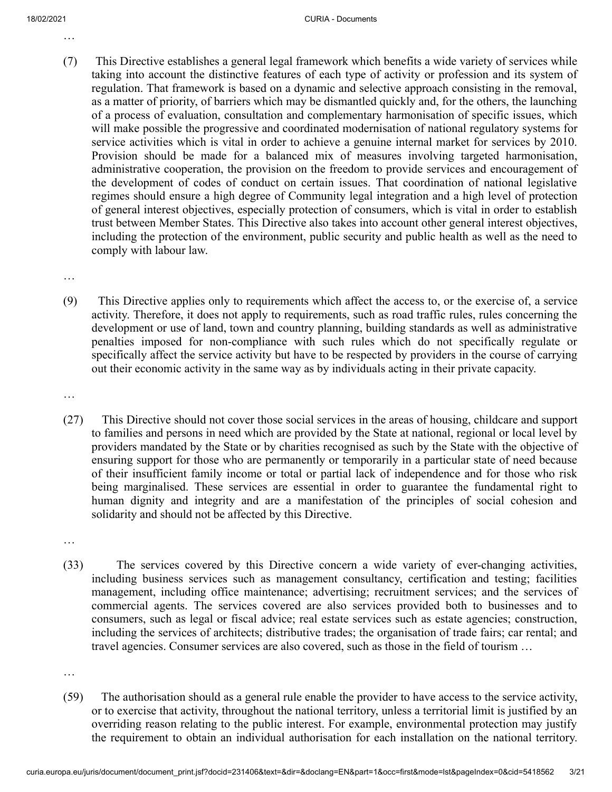…

- (7) This Directive establishes a general legal framework which benefits a wide variety of services while taking into account the distinctive features of each type of activity or profession and its system of regulation. That framework is based on a dynamic and selective approach consisting in the removal, as a matter of priority, of barriers which may be dismantled quickly and, for the others, the launching of a process of evaluation, consultation and complementary harmonisation of specific issues, which will make possible the progressive and coordinated modernisation of national regulatory systems for service activities which is vital in order to achieve a genuine internal market for services by 2010. Provision should be made for a balanced mix of measures involving targeted harmonisation, administrative cooperation, the provision on the freedom to provide services and encouragement of the development of codes of conduct on certain issues. That coordination of national legislative regimes should ensure a high degree of Community legal integration and a high level of protection of general interest objectives, especially protection of consumers, which is vital in order to establish trust between Member States. This Directive also takes into account other general interest objectives, including the protection of the environment, public security and public health as well as the need to comply with labour law.
- (9) This Directive applies only to requirements which affect the access to, or the exercise of, a service activity. Therefore, it does not apply to requirements, such as road traffic rules, rules concerning the development or use of land, town and country planning, building standards as well as administrative penalties imposed for non-compliance with such rules which do not specifically regulate or specifically affect the service activity but have to be respected by providers in the course of carrying out their economic activity in the same way as by individuals acting in their private capacity.

…

…

- (27) This Directive should not cover those social services in the areas of housing, childcare and support to families and persons in need which are provided by the State at national, regional or local level by providers mandated by the State or by charities recognised as such by the State with the objective of ensuring support for those who are permanently or temporarily in a particular state of need because of their insufficient family income or total or partial lack of independence and for those who risk being marginalised. These services are essential in order to guarantee the fundamental right to human dignity and integrity and are a manifestation of the principles of social cohesion and solidarity and should not be affected by this Directive.
- …
- (33) The services covered by this Directive concern a wide variety of ever-changing activities, including business services such as management consultancy, certification and testing; facilities management, including office maintenance; advertising; recruitment services; and the services of commercial agents. The services covered are also services provided both to businesses and to consumers, such as legal or fiscal advice; real estate services such as estate agencies; construction, including the services of architects; distributive trades; the organisation of trade fairs; car rental; and travel agencies. Consumer services are also covered, such as those in the field of tourism …

…

(59) The authorisation should as a general rule enable the provider to have access to the service activity, or to exercise that activity, throughout the national territory, unless a territorial limit is justified by an overriding reason relating to the public interest. For example, environmental protection may justify the requirement to obtain an individual authorisation for each installation on the national territory.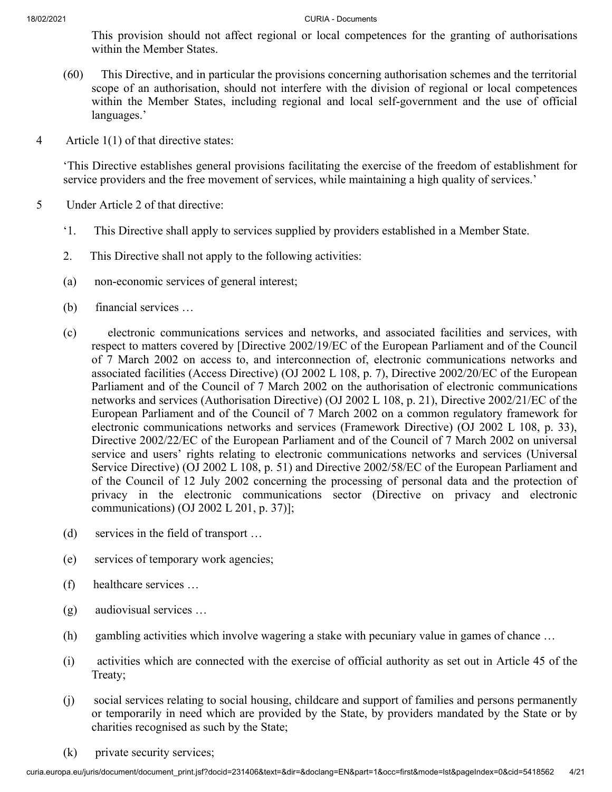This provision should not affect regional or local competences for the granting of authorisations within the Member States.

- (60) This Directive, and in particular the provisions concerning authorisation schemes and the territorial scope of an authorisation, should not interfere with the division of regional or local competences within the Member States, including regional and local self-government and the use of official languages.'
- 4 Article 1(1) of that directive states:

'This Directive establishes general provisions facilitating the exercise of the freedom of establishment for service providers and the free movement of services, while maintaining a high quality of services.'

- 5 Under Article 2 of that directive:
	- '1. This Directive shall apply to services supplied by providers established in a Member State.
	- 2. This Directive shall not apply to the following activities:
	- (a) non-economic services of general interest;
	- (b) financial services …
	- (c) electronic communications services and networks, and associated facilities and services, with respect to matters covered by [Directive 2002/19/EC of the European Parliament and of the Council of 7 March 2002 on access to, and interconnection of, electronic communications networks and associated facilities (Access Directive) (OJ 2002 L 108, p. 7), Directive 2002/20/EC of the European Parliament and of the Council of 7 March 2002 on the authorisation of electronic communications networks and services (Authorisation Directive) (OJ 2002 L 108, p. 21), Directive 2002/21/EC of the European Parliament and of the Council of 7 March 2002 on a common regulatory framework for electronic communications networks and services (Framework Directive) (OJ 2002 L 108, p. 33), Directive 2002/22/EC of the European Parliament and of the Council of 7 March 2002 on universal service and users' rights relating to electronic communications networks and services (Universal Service Directive) (OJ 2002 L 108, p. 51) and Directive 2002/58/EC of the European Parliament and of the Council of 12 July 2002 concerning the processing of personal data and the protection of privacy in the electronic communications sector (Directive on privacy and electronic communications) (OJ 2002 L 201, p. 37)];
	- (d) services in the field of transport …
	- (e) services of temporary work agencies;
	- (f) healthcare services …
	- (g) audiovisual services …
	- (h) gambling activities which involve wagering a stake with pecuniary value in games of chance …
	- (i) activities which are connected with the exercise of official authority as set out in Article 45 of the Treaty;
	- (j) social services relating to social housing, childcare and support of families and persons permanently or temporarily in need which are provided by the State, by providers mandated by the State or by charities recognised as such by the State;
	- (k) private security services;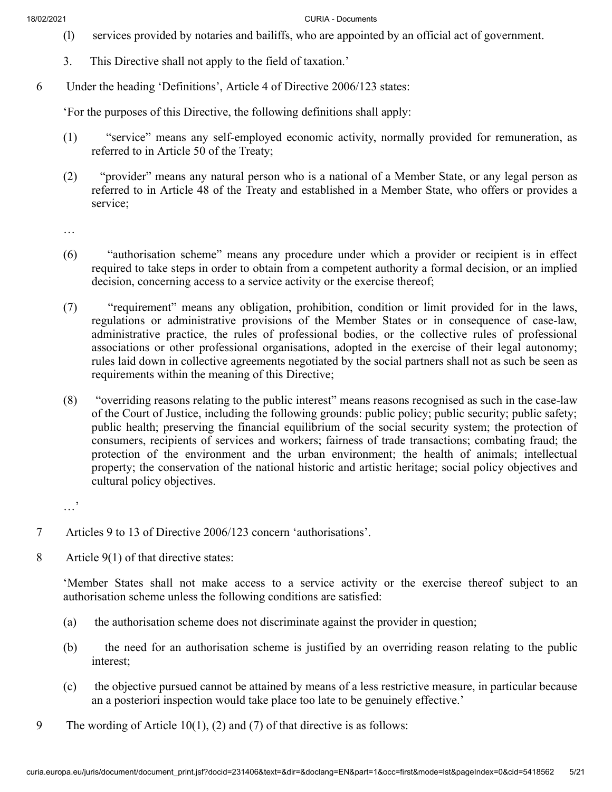- (l) services provided by notaries and bailiffs, who are appointed by an official act of government.
- 3. This Directive shall not apply to the field of taxation.'
- 6 Under the heading 'Definitions', Article 4 of Directive 2006/123 states:

'For the purposes of this Directive, the following definitions shall apply:

- (1) "service" means any self-employed economic activity, normally provided for remuneration, as referred to in Article 50 of the Treaty;
- (2) "provider" means any natural person who is a national of a Member State, or any legal person as referred to in Article 48 of the Treaty and established in a Member State, who offers or provides a service;
- …
- (6) "authorisation scheme" means any procedure under which a provider or recipient is in effect required to take steps in order to obtain from a competent authority a formal decision, or an implied decision, concerning access to a service activity or the exercise thereof;
- (7) "requirement" means any obligation, prohibition, condition or limit provided for in the laws, regulations or administrative provisions of the Member States or in consequence of case-law, administrative practice, the rules of professional bodies, or the collective rules of professional associations or other professional organisations, adopted in the exercise of their legal autonomy; rules laid down in collective agreements negotiated by the social partners shall not as such be seen as requirements within the meaning of this Directive;
- (8) "overriding reasons relating to the public interest" means reasons recognised as such in the case-law of the Court of Justice, including the following grounds: public policy; public security; public safety; public health; preserving the financial equilibrium of the social security system; the protection of consumers, recipients of services and workers; fairness of trade transactions; combating fraud; the protection of the environment and the urban environment; the health of animals; intellectual property; the conservation of the national historic and artistic heritage; social policy objectives and cultural policy objectives.

…'

- 7 Articles 9 to 13 of Directive 2006/123 concern 'authorisations'.
- 8 Article 9(1) of that directive states:

'Member States shall not make access to a service activity or the exercise thereof subject to an authorisation scheme unless the following conditions are satisfied:

- (a) the authorisation scheme does not discriminate against the provider in question;
- (b) the need for an authorisation scheme is justified by an overriding reason relating to the public interest;
- (c) the objective pursued cannot be attained by means of a less restrictive measure, in particular because an a posteriori inspection would take place too late to be genuinely effective.'
- 9 The wording of Article 10(1), (2) and (7) of that directive is as follows: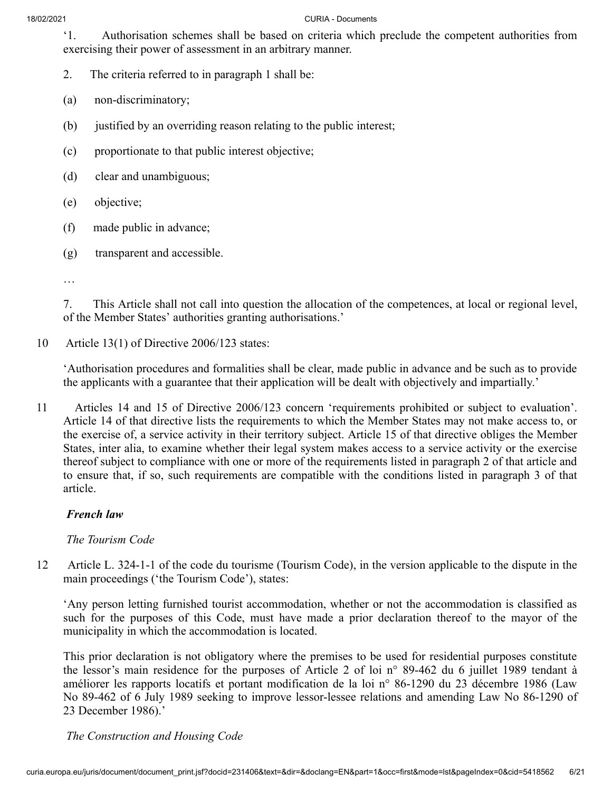'1. Authorisation schemes shall be based on criteria which preclude the competent authorities from exercising their power of assessment in an arbitrary manner.

- 2. The criteria referred to in paragraph 1 shall be:
- (a) non-discriminatory;
- (b) justified by an overriding reason relating to the public interest;
- (c) proportionate to that public interest objective;
- (d) clear and unambiguous;
- (e) objective;
- (f) made public in advance;
- (g) transparent and accessible.
- …

7. This Article shall not call into question the allocation of the competences, at local or regional level, of the Member States' authorities granting authorisations.'

10 Article 13(1) of Directive 2006/123 states:

'Authorisation procedures and formalities shall be clear, made public in advance and be such as to provide the applicants with a guarantee that their application will be dealt with objectively and impartially.'

11 Articles 14 and 15 of Directive 2006/123 concern 'requirements prohibited or subject to evaluation'. Article 14 of that directive lists the requirements to which the Member States may not make access to, or the exercise of, a service activity in their territory subject. Article 15 of that directive obliges the Member States, inter alia, to examine whether their legal system makes access to a service activity or the exercise thereof subject to compliance with one or more of the requirements listed in paragraph 2 of that article and to ensure that, if so, such requirements are compatible with the conditions listed in paragraph 3 of that article.

## *French law*

## *The Tourism Code*

12 Article L. 324‑1‑1 of the code du tourisme (Tourism Code), in the version applicable to the dispute in the main proceedings ('the Tourism Code'), states:

'Any person letting furnished tourist accommodation, whether or not the accommodation is classified as such for the purposes of this Code, must have made a prior declaration thereof to the mayor of the municipality in which the accommodation is located.

This prior declaration is not obligatory where the premises to be used for residential purposes constitute the lessor's main residence for the purposes of Article 2 of loi n° 89‑462 du 6 juillet 1989 tendant à améliorer les rapports locatifs et portant modification de la loi n° 86‑1290 du 23 décembre 1986 (Law No 89‑462 of 6 July 1989 seeking to improve lessor-lessee relations and amending Law No 86‑1290 of 23 December 1986).'

# *The Construction and Housing Code*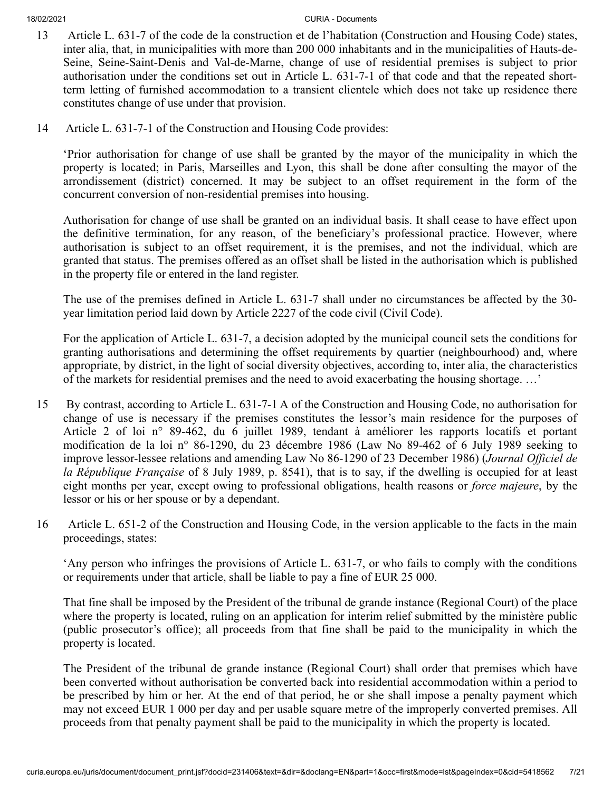- 13 Article L. 631‑7 of the code de la construction et de l'habitation (Construction and Housing Code) states, inter alia, that, in municipalities with more than 200 000 inhabitants and in the municipalities of Hauts-de-Seine, Seine-Saint-Denis and Val-de-Marne, change of use of residential premises is subject to prior authorisation under the conditions set out in Article L. 631‑7‑1 of that code and that the repeated shortterm letting of furnished accommodation to a transient clientele which does not take up residence there constitutes change of use under that provision.
- 14 Article L. 631-7-1 of the Construction and Housing Code provides:

'Prior authorisation for change of use shall be granted by the mayor of the municipality in which the property is located; in Paris, Marseilles and Lyon, this shall be done after consulting the mayor of the arrondissement (district) concerned. It may be subject to an offset requirement in the form of the concurrent conversion of non-residential premises into housing.

Authorisation for change of use shall be granted on an individual basis. It shall cease to have effect upon the definitive termination, for any reason, of the beneficiary's professional practice. However, where authorisation is subject to an offset requirement, it is the premises, and not the individual, which are granted that status. The premises offered as an offset shall be listed in the authorisation which is published in the property file or entered in the land register.

The use of the premises defined in Article L. 631-7 shall under no circumstances be affected by the 30year limitation period laid down by Article 2227 of the code civil (Civil Code).

For the application of Article L. 631-7, a decision adopted by the municipal council sets the conditions for granting authorisations and determining the offset requirements by quartier (neighbourhood) and, where appropriate, by district, in the light of social diversity objectives, according to, inter alia, the characteristics of the markets for residential premises and the need to avoid exacerbating the housing shortage. …'

- 15 By contrast, according to Article L. 631‑7‑1 A of the Construction and Housing Code, no authorisation for change of use is necessary if the premises constitutes the lessor's main residence for the purposes of Article 2 of loi n° 89-462, du 6 juillet 1989, tendant à améliorer les rapports locatifs et portant modification de la loi n° 86‑1290, du 23 décembre 1986 (Law No 89‑462 of 6 July 1989 seeking to improve lessor-lessee relations and amending Law No 86-1290 of 23 December 1986) (*Journal Officiel de la République Française* of 8 July 1989, p. 8541), that is to say, if the dwelling is occupied for at least eight months per year, except owing to professional obligations, health reasons or *force majeure*, by the lessor or his or her spouse or by a dependant.
- 16 Article L. 651‑2 of the Construction and Housing Code, in the version applicable to the facts in the main proceedings, states:

'Any person who infringes the provisions of Article L. 631‑7, or who fails to comply with the conditions or requirements under that article, shall be liable to pay a fine of EUR 25 000.

That fine shall be imposed by the President of the tribunal de grande instance (Regional Court) of the place where the property is located, ruling on an application for interim relief submitted by the ministère public (public prosecutor's office); all proceeds from that fine shall be paid to the municipality in which the property is located.

The President of the tribunal de grande instance (Regional Court) shall order that premises which have been converted without authorisation be converted back into residential accommodation within a period to be prescribed by him or her. At the end of that period, he or she shall impose a penalty payment which may not exceed EUR 1 000 per day and per usable square metre of the improperly converted premises. All proceeds from that penalty payment shall be paid to the municipality in which the property is located.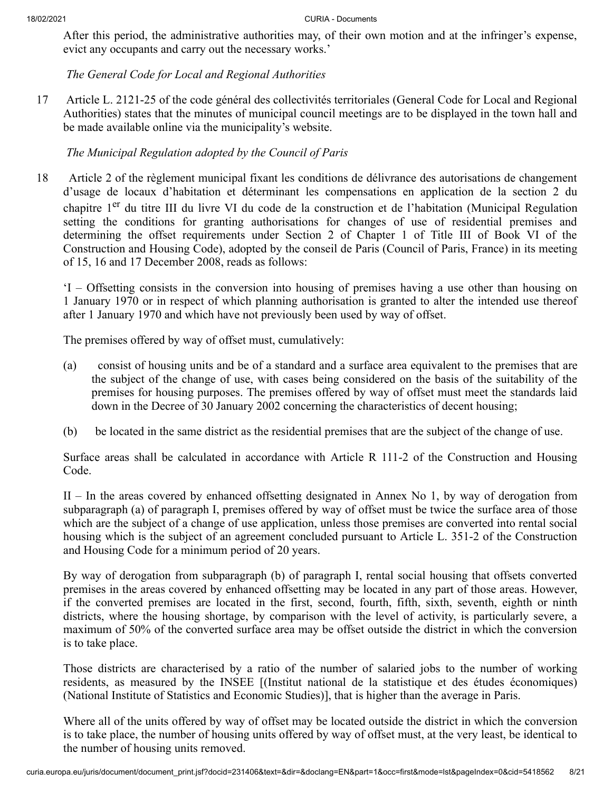After this period, the administrative authorities may, of their own motion and at the infringer's expense, evict any occupants and carry out the necessary works.'

*The General Code for Local and Regional Authorities*

17 Article L. 2121‑25 of the code général des collectivités territoriales (General Code for Local and Regional Authorities) states that the minutes of municipal council meetings are to be displayed in the town hall and be made available online via the municipality's website.

*The Municipal Regulation adopted by the Council of Paris*

18 Article 2 of the règlement municipal fixant les conditions de délivrance des autorisations de changement d'usage de locaux d'habitation et déterminant les compensations en application de la section 2 du chapitre 1<sup>er</sup> du titre III du livre VI du code de la construction et de l'habitation (Municipal Regulation setting the conditions for granting authorisations for changes of use of residential premises and determining the offset requirements under Section 2 of Chapter 1 of Title III of Book VI of the Construction and Housing Code), adopted by the conseil de Paris (Council of Paris, France) in its meeting of 15, 16 and 17 December 2008, reads as follows:

'I – Offsetting consists in the conversion into housing of premises having a use other than housing on 1 January 1970 or in respect of which planning authorisation is granted to alter the intended use thereof after 1 January 1970 and which have not previously been used by way of offset.

The premises offered by way of offset must, cumulatively:

- (a) consist of housing units and be of a standard and a surface area equivalent to the premises that are the subject of the change of use, with cases being considered on the basis of the suitability of the premises for housing purposes. The premises offered by way of offset must meet the standards laid down in the Decree of 30 January 2002 concerning the characteristics of decent housing;
- (b) be located in the same district as the residential premises that are the subject of the change of use.

Surface areas shall be calculated in accordance with Article R 111-2 of the Construction and Housing Code.

II – In the areas covered by enhanced offsetting designated in Annex No 1, by way of derogation from subparagraph (a) of paragraph I, premises offered by way of offset must be twice the surface area of those which are the subject of a change of use application, unless those premises are converted into rental social housing which is the subject of an agreement concluded pursuant to Article L. 351-2 of the Construction and Housing Code for a minimum period of 20 years.

By way of derogation from subparagraph (b) of paragraph I, rental social housing that offsets converted premises in the areas covered by enhanced offsetting may be located in any part of those areas. However, if the converted premises are located in the first, second, fourth, fifth, sixth, seventh, eighth or ninth districts, where the housing shortage, by comparison with the level of activity, is particularly severe, a maximum of 50% of the converted surface area may be offset outside the district in which the conversion is to take place.

Those districts are characterised by a ratio of the number of salaried jobs to the number of working residents, as measured by the INSEE [(Institut national de la statistique et des études économiques) (National Institute of Statistics and Economic Studies)], that is higher than the average in Paris.

Where all of the units offered by way of offset may be located outside the district in which the conversion is to take place, the number of housing units offered by way of offset must, at the very least, be identical to the number of housing units removed.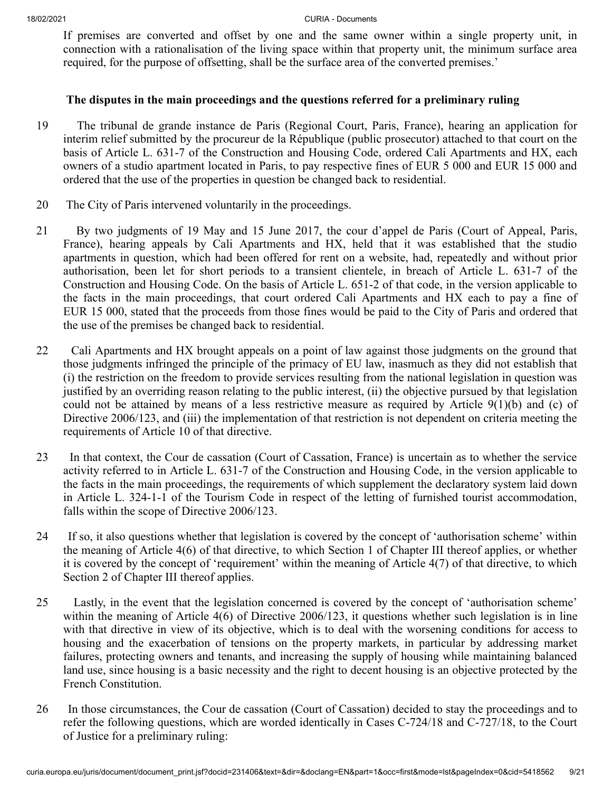If premises are converted and offset by one and the same owner within a single property unit, in connection with a rationalisation of the living space within that property unit, the minimum surface area required, for the purpose of offsetting, shall be the surface area of the converted premises.'

## **The disputes in the main proceedings and the questions referred for a preliminary ruling**

- 19 The tribunal de grande instance de Paris (Regional Court, Paris, France), hearing an application for interim relief submitted by the procureur de la République (public prosecutor) attached to that court on the basis of Article L. 631-7 of the Construction and Housing Code, ordered Cali Apartments and HX, each owners of a studio apartment located in Paris, to pay respective fines of EUR 5 000 and EUR 15 000 and ordered that the use of the properties in question be changed back to residential.
- 20 The City of Paris intervened voluntarily in the proceedings.
- 21 By two judgments of 19 May and 15 June 2017, the cour d'appel de Paris (Court of Appeal, Paris, France), hearing appeals by Cali Apartments and HX, held that it was established that the studio apartments in question, which had been offered for rent on a website, had, repeatedly and without prior authorisation, been let for short periods to a transient clientele, in breach of Article L. 631‑7 of the Construction and Housing Code. On the basis of Article L. 651‑2 of that code, in the version applicable to the facts in the main proceedings, that court ordered Cali Apartments and HX each to pay a fine of EUR 15 000, stated that the proceeds from those fines would be paid to the City of Paris and ordered that the use of the premises be changed back to residential.
- 22 Cali Apartments and HX brought appeals on a point of law against those judgments on the ground that those judgments infringed the principle of the primacy of EU law, inasmuch as they did not establish that (i) the restriction on the freedom to provide services resulting from the national legislation in question was justified by an overriding reason relating to the public interest, (ii) the objective pursued by that legislation could not be attained by means of a less restrictive measure as required by Article  $9(1)(b)$  and (c) of Directive 2006/123, and (iii) the implementation of that restriction is not dependent on criteria meeting the requirements of Article 10 of that directive.
- 23 In that context, the Cour de cassation (Court of Cassation, France) is uncertain as to whether the service activity referred to in Article L. 631‑7 of the Construction and Housing Code, in the version applicable to the facts in the main proceedings, the requirements of which supplement the declaratory system laid down in Article L. 324–1–1 of the Tourism Code in respect of the letting of furnished tourist accommodation, falls within the scope of Directive 2006/123.
- 24 If so, it also questions whether that legislation is covered by the concept of 'authorisation scheme' within the meaning of Article 4(6) of that directive, to which Section 1 of Chapter III thereof applies, or whether it is covered by the concept of 'requirement' within the meaning of Article 4(7) of that directive, to which Section 2 of Chapter III thereof applies.
- 25 Lastly, in the event that the legislation concerned is covered by the concept of 'authorisation scheme' within the meaning of Article 4(6) of Directive 2006/123, it questions whether such legislation is in line with that directive in view of its objective, which is to deal with the worsening conditions for access to housing and the exacerbation of tensions on the property markets, in particular by addressing market failures, protecting owners and tenants, and increasing the supply of housing while maintaining balanced land use, since housing is a basic necessity and the right to decent housing is an objective protected by the French Constitution.
- 26 In those circumstances, the Cour de cassation (Court of Cassation) decided to stay the proceedings and to refer the following questions, which are worded identically in Cases C–724/18 and C–727/18, to the Court of Justice for a preliminary ruling: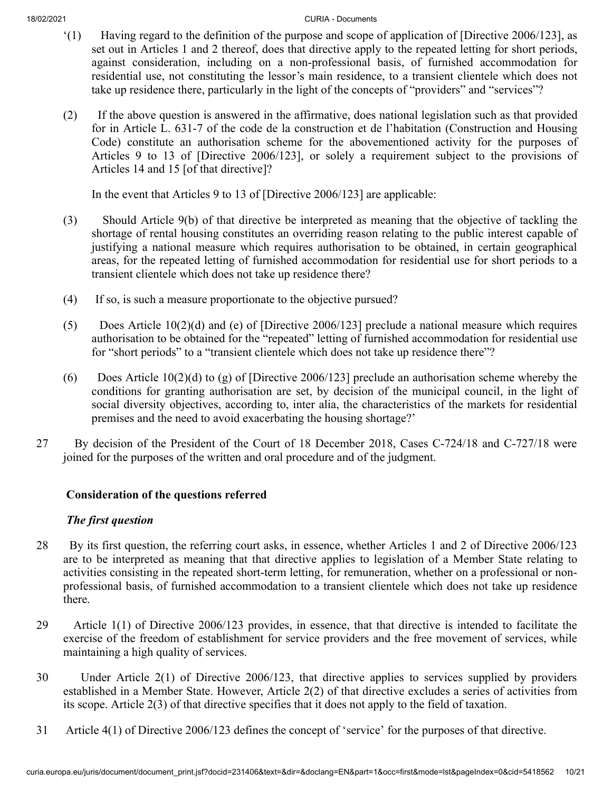- '(1) Having regard to the definition of the purpose and scope of application of [Directive 2006/123], as set out in Articles 1 and 2 thereof, does that directive apply to the repeated letting for short periods, against consideration, including on a non-professional basis, of furnished accommodation for residential use, not constituting the lessor's main residence, to a transient clientele which does not take up residence there, particularly in the light of the concepts of "providers" and "services"?
- (2) If the above question is answered in the affirmative, does national legislation such as that provided for in Article L. 631-7 of the code de la construction et de l'habitation (Construction and Housing Code) constitute an authorisation scheme for the abovementioned activity for the purposes of Articles 9 to 13 of [Directive 2006/123], or solely a requirement subject to the provisions of Articles 14 and 15 [of that directive]?

In the event that Articles 9 to 13 of [Directive 2006/123] are applicable:

- (3) Should Article 9(b) of that directive be interpreted as meaning that the objective of tackling the shortage of rental housing constitutes an overriding reason relating to the public interest capable of justifying a national measure which requires authorisation to be obtained, in certain geographical areas, for the repeated letting of furnished accommodation for residential use for short periods to a transient clientele which does not take up residence there?
- (4) If so, is such a measure proportionate to the objective pursued?
- (5) Does Article 10(2)(d) and (e) of [Directive 2006/123] preclude a national measure which requires authorisation to be obtained for the "repeated" letting of furnished accommodation for residential use for "short periods" to a "transient clientele which does not take up residence there"?
- (6) Does Article 10(2)(d) to (g) of [Directive 2006/123] preclude an authorisation scheme whereby the conditions for granting authorisation are set, by decision of the municipal council, in the light of social diversity objectives, according to, inter alia, the characteristics of the markets for residential premises and the need to avoid exacerbating the housing shortage?'
- 27 By decision of the President of the Court of 18 December 2018, Cases C‑724/18 and C‑727/18 were joined for the purposes of the written and oral procedure and of the judgment.

# **Consideration of the questions referred**

# *The first question*

- 28 By its first question, the referring court asks, in essence, whether Articles 1 and 2 of Directive 2006/123 are to be interpreted as meaning that that directive applies to legislation of a Member State relating to activities consisting in the repeated short-term letting, for remuneration, whether on a professional or nonprofessional basis, of furnished accommodation to a transient clientele which does not take up residence there.
- 29 Article 1(1) of Directive 2006/123 provides, in essence, that that directive is intended to facilitate the exercise of the freedom of establishment for service providers and the free movement of services, while maintaining a high quality of services.
- 30 Under Article 2(1) of Directive 2006/123, that directive applies to services supplied by providers established in a Member State. However, Article 2(2) of that directive excludes a series of activities from its scope. Article 2(3) of that directive specifies that it does not apply to the field of taxation.
- 31 Article 4(1) of Directive 2006/123 defines the concept of 'service' for the purposes of that directive.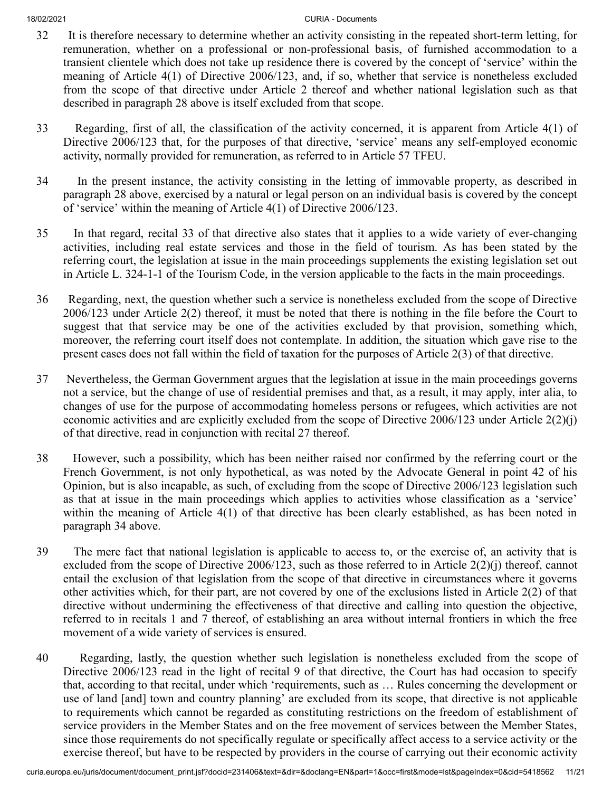- 32 It is therefore necessary to determine whether an activity consisting in the repeated short-term letting, for remuneration, whether on a professional or non-professional basis, of furnished accommodation to a transient clientele which does not take up residence there is covered by the concept of 'service' within the meaning of Article 4(1) of Directive 2006/123, and, if so, whether that service is nonetheless excluded from the scope of that directive under Article 2 thereof and whether national legislation such as that described in paragraph 28 above is itself excluded from that scope.
- 33 Regarding, first of all, the classification of the activity concerned, it is apparent from Article 4(1) of Directive 2006/123 that, for the purposes of that directive, 'service' means any self-employed economic activity, normally provided for remuneration, as referred to in Article 57 TFEU.
- 34 In the present instance, the activity consisting in the letting of immovable property, as described in paragraph 28 above, exercised by a natural or legal person on an individual basis is covered by the concept of 'service' within the meaning of Article 4(1) of Directive 2006/123.
- 35 In that regard, recital 33 of that directive also states that it applies to a wide variety of ever-changing activities, including real estate services and those in the field of tourism. As has been stated by the referring court, the legislation at issue in the main proceedings supplements the existing legislation set out in Article L. 324-1-1 of the Tourism Code, in the version applicable to the facts in the main proceedings.
- 36 Regarding, next, the question whether such a service is nonetheless excluded from the scope of Directive 2006/123 under Article 2(2) thereof, it must be noted that there is nothing in the file before the Court to suggest that that service may be one of the activities excluded by that provision, something which, moreover, the referring court itself does not contemplate. In addition, the situation which gave rise to the present cases does not fall within the field of taxation for the purposes of Article 2(3) of that directive.
- 37 Nevertheless, the German Government argues that the legislation at issue in the main proceedings governs not a service, but the change of use of residential premises and that, as a result, it may apply, inter alia, to changes of use for the purpose of accommodating homeless persons or refugees, which activities are not economic activities and are explicitly excluded from the scope of Directive 2006/123 under Article 2(2)(j) of that directive, read in conjunction with recital 27 thereof.
- 38 However, such a possibility, which has been neither raised nor confirmed by the referring court or the French Government, is not only hypothetical, as was noted by the Advocate General in point 42 of his Opinion, but is also incapable, as such, of excluding from the scope of Directive 2006/123 legislation such as that at issue in the main proceedings which applies to activities whose classification as a 'service' within the meaning of Article 4(1) of that directive has been clearly established, as has been noted in paragraph 34 above.
- 39 The mere fact that national legislation is applicable to access to, or the exercise of, an activity that is excluded from the scope of Directive 2006/123, such as those referred to in Article  $2(2)(j)$  thereof, cannot entail the exclusion of that legislation from the scope of that directive in circumstances where it governs other activities which, for their part, are not covered by one of the exclusions listed in Article 2(2) of that directive without undermining the effectiveness of that directive and calling into question the objective, referred to in recitals 1 and 7 thereof, of establishing an area without internal frontiers in which the free movement of a wide variety of services is ensured.
- 40 Regarding, lastly, the question whether such legislation is nonetheless excluded from the scope of Directive 2006/123 read in the light of recital 9 of that directive, the Court has had occasion to specify that, according to that recital, under which 'requirements, such as … Rules concerning the development or use of land [and] town and country planning' are excluded from its scope, that directive is not applicable to requirements which cannot be regarded as constituting restrictions on the freedom of establishment of service providers in the Member States and on the free movement of services between the Member States, since those requirements do not specifically regulate or specifically affect access to a service activity or the exercise thereof, but have to be respected by providers in the course of carrying out their economic activity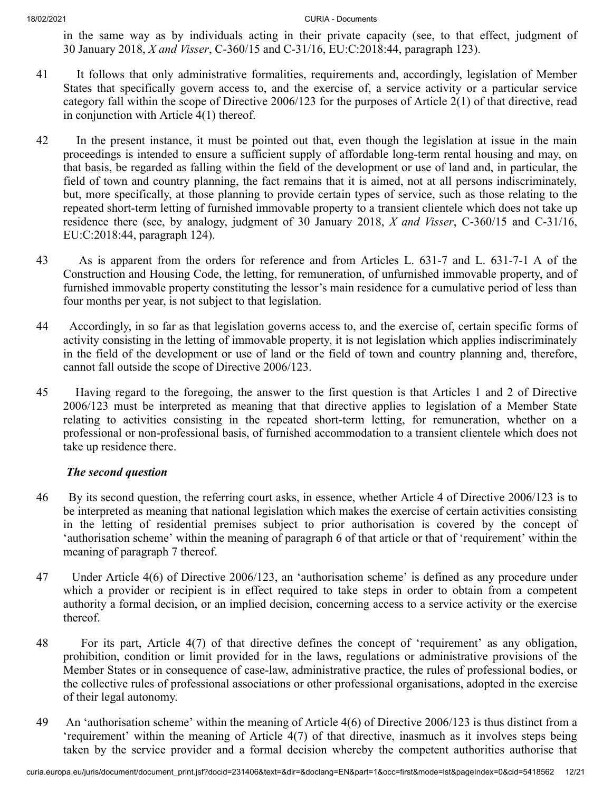in the same way as by individuals acting in their private capacity (see, to that effect, judgment of 30 January 2018, *X and Visser*, C‑360/15 and C‑31/16, EU:C:2018:44, paragraph 123).

- 41 It follows that only administrative formalities, requirements and, accordingly, legislation of Member States that specifically govern access to, and the exercise of, a service activity or a particular service category fall within the scope of Directive 2006/123 for the purposes of Article 2(1) of that directive, read in conjunction with Article 4(1) thereof.
- 42 In the present instance, it must be pointed out that, even though the legislation at issue in the main proceedings is intended to ensure a sufficient supply of affordable long-term rental housing and may, on that basis, be regarded as falling within the field of the development or use of land and, in particular, the field of town and country planning, the fact remains that it is aimed, not at all persons indiscriminately, but, more specifically, at those planning to provide certain types of service, such as those relating to the repeated short-term letting of furnished immovable property to a transient clientele which does not take up residence there (see, by analogy, judgment of 30 January 2018, *X and Visser*, C‑360/15 and C‑31/16, EU:C:2018:44, paragraph 124).
- 43 As is apparent from the orders for reference and from Articles L. 631‑7 and L. 631‑7‑1 A of the Construction and Housing Code, the letting, for remuneration, of unfurnished immovable property, and of furnished immovable property constituting the lessor's main residence for a cumulative period of less than four months per year, is not subject to that legislation.
- 44 Accordingly, in so far as that legislation governs access to, and the exercise of, certain specific forms of activity consisting in the letting of immovable property, it is not legislation which applies indiscriminately in the field of the development or use of land or the field of town and country planning and, therefore, cannot fall outside the scope of Directive 2006/123.
- 45 Having regard to the foregoing, the answer to the first question is that Articles 1 and 2 of Directive 2006/123 must be interpreted as meaning that that directive applies to legislation of a Member State relating to activities consisting in the repeated short-term letting, for remuneration, whether on a professional or non-professional basis, of furnished accommodation to a transient clientele which does not take up residence there.

# *The second question*

- 46 By its second question, the referring court asks, in essence, whether Article 4 of Directive 2006/123 is to be interpreted as meaning that national legislation which makes the exercise of certain activities consisting in the letting of residential premises subject to prior authorisation is covered by the concept of 'authorisation scheme' within the meaning of paragraph 6 of that article or that of 'requirement' within the meaning of paragraph 7 thereof.
- 47 Under Article 4(6) of Directive 2006/123, an 'authorisation scheme' is defined as any procedure under which a provider or recipient is in effect required to take steps in order to obtain from a competent authority a formal decision, or an implied decision, concerning access to a service activity or the exercise thereof.
- 48 For its part, Article 4(7) of that directive defines the concept of 'requirement' as any obligation, prohibition, condition or limit provided for in the laws, regulations or administrative provisions of the Member States or in consequence of case-law, administrative practice, the rules of professional bodies, or the collective rules of professional associations or other professional organisations, adopted in the exercise of their legal autonomy.
- 49 An 'authorisation scheme' within the meaning of Article 4(6) of Directive 2006/123 is thus distinct from a 'requirement' within the meaning of Article 4(7) of that directive, inasmuch as it involves steps being taken by the service provider and a formal decision whereby the competent authorities authorise that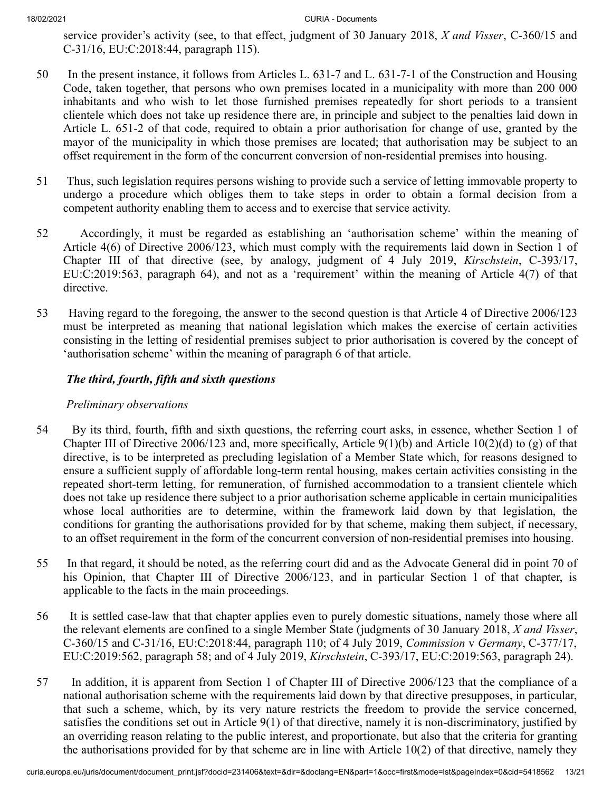service provider's activity (see, to that effect, judgment of 30 January 2018, *X and Visser*, C‑360/15 and C‑31/16, EU:C:2018:44, paragraph 115).

- 50 In the present instance, it follows from Articles L. 631‑7 and L. 631‑7‑1 of the Construction and Housing Code, taken together, that persons who own premises located in a municipality with more than 200 000 inhabitants and who wish to let those furnished premises repeatedly for short periods to a transient clientele which does not take up residence there are, in principle and subject to the penalties laid down in Article L. 651-2 of that code, required to obtain a prior authorisation for change of use, granted by the mayor of the municipality in which those premises are located; that authorisation may be subject to an offset requirement in the form of the concurrent conversion of non-residential premises into housing.
- 51 Thus, such legislation requires persons wishing to provide such a service of letting immovable property to undergo a procedure which obliges them to take steps in order to obtain a formal decision from a competent authority enabling them to access and to exercise that service activity.
- 52 Accordingly, it must be regarded as establishing an 'authorisation scheme' within the meaning of Article 4(6) of Directive 2006/123, which must comply with the requirements laid down in Section 1 of Chapter III of that directive (see, by analogy, judgment of 4 July 2019, *Kirschstein*, C‑393/17, EU:C:2019:563, paragraph 64), and not as a 'requirement' within the meaning of Article 4(7) of that directive.
- 53 Having regard to the foregoing, the answer to the second question is that Article 4 of Directive 2006/123 must be interpreted as meaning that national legislation which makes the exercise of certain activities consisting in the letting of residential premises subject to prior authorisation is covered by the concept of 'authorisation scheme' within the meaning of paragraph 6 of that article.

# *The third, fourth, fifth and sixth questions*

# *Preliminary observations*

- 54 By its third, fourth, fifth and sixth questions, the referring court asks, in essence, whether Section 1 of Chapter III of Directive 2006/123 and, more specifically, Article 9(1)(b) and Article 10(2)(d) to (g) of that directive, is to be interpreted as precluding legislation of a Member State which, for reasons designed to ensure a sufficient supply of affordable long-term rental housing, makes certain activities consisting in the repeated short-term letting, for remuneration, of furnished accommodation to a transient clientele which does not take up residence there subject to a prior authorisation scheme applicable in certain municipalities whose local authorities are to determine, within the framework laid down by that legislation, the conditions for granting the authorisations provided for by that scheme, making them subject, if necessary, to an offset requirement in the form of the concurrent conversion of non-residential premises into housing.
- 55 In that regard, it should be noted, as the referring court did and as the Advocate General did in point 70 of his Opinion, that Chapter III of Directive 2006/123, and in particular Section 1 of that chapter, is applicable to the facts in the main proceedings.
- 56 It is settled case-law that that chapter applies even to purely domestic situations, namely those where all the relevant elements are confined to a single Member State (judgments of 30 January 2018, *X and Visser*, C‑360/15 and C‑31/16, EU:C:2018:44, paragraph 110; of 4 July 2019, *Commission* v *Germany*, C‑377/17, EU:C:2019:562, paragraph 58; and of 4 July 2019, *Kirschstein*, C‑393/17, EU:C:2019:563, paragraph 24).
- 57 In addition, it is apparent from Section 1 of Chapter III of Directive 2006/123 that the compliance of a national authorisation scheme with the requirements laid down by that directive presupposes, in particular, that such a scheme, which, by its very nature restricts the freedom to provide the service concerned, satisfies the conditions set out in Article 9(1) of that directive, namely it is non-discriminatory, justified by an overriding reason relating to the public interest, and proportionate, but also that the criteria for granting the authorisations provided for by that scheme are in line with Article 10(2) of that directive, namely they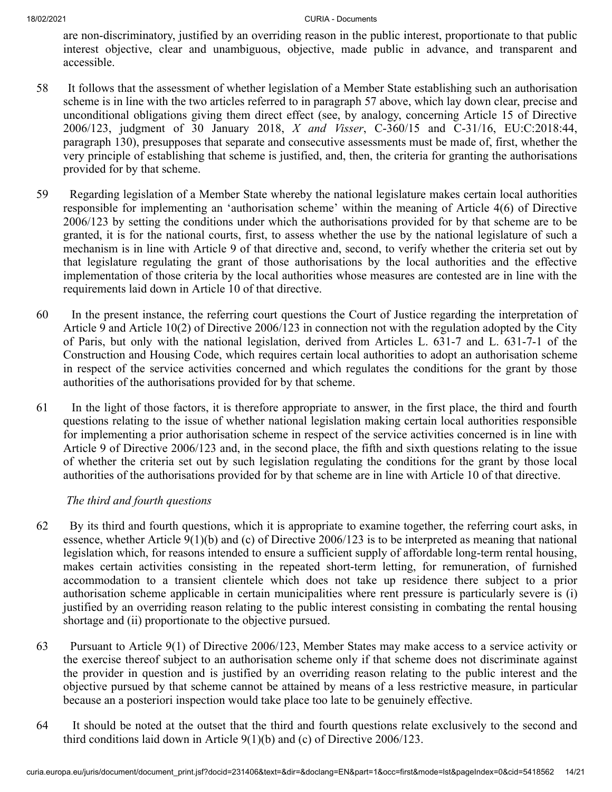are non-discriminatory, justified by an overriding reason in the public interest, proportionate to that public interest objective, clear and unambiguous, objective, made public in advance, and transparent and accessible.

- 58 It follows that the assessment of whether legislation of a Member State establishing such an authorisation scheme is in line with the two articles referred to in paragraph 57 above, which lay down clear, precise and unconditional obligations giving them direct effect (see, by analogy, concerning Article 15 of Directive 2006/123, judgment of 30 January 2018, *X and Visser*, C‑360/15 and C‑31/16, EU:C:2018:44, paragraph 130), presupposes that separate and consecutive assessments must be made of, first, whether the very principle of establishing that scheme is justified, and, then, the criteria for granting the authorisations provided for by that scheme.
- 59 Regarding legislation of a Member State whereby the national legislature makes certain local authorities responsible for implementing an 'authorisation scheme' within the meaning of Article 4(6) of Directive 2006/123 by setting the conditions under which the authorisations provided for by that scheme are to be granted, it is for the national courts, first, to assess whether the use by the national legislature of such a mechanism is in line with Article 9 of that directive and, second, to verify whether the criteria set out by that legislature regulating the grant of those authorisations by the local authorities and the effective implementation of those criteria by the local authorities whose measures are contested are in line with the requirements laid down in Article 10 of that directive.
- 60 In the present instance, the referring court questions the Court of Justice regarding the interpretation of Article 9 and Article 10(2) of Directive 2006/123 in connection not with the regulation adopted by the City of Paris, but only with the national legislation, derived from Articles L. 631‑7 and L. 631‑7‑1 of the Construction and Housing Code, which requires certain local authorities to adopt an authorisation scheme in respect of the service activities concerned and which regulates the conditions for the grant by those authorities of the authorisations provided for by that scheme.
- 61 In the light of those factors, it is therefore appropriate to answer, in the first place, the third and fourth questions relating to the issue of whether national legislation making certain local authorities responsible for implementing a prior authorisation scheme in respect of the service activities concerned is in line with Article 9 of Directive 2006/123 and, in the second place, the fifth and sixth questions relating to the issue of whether the criteria set out by such legislation regulating the conditions for the grant by those local authorities of the authorisations provided for by that scheme are in line with Article 10 of that directive.

# *The third and fourth questions*

- 62 By its third and fourth questions, which it is appropriate to examine together, the referring court asks, in essence, whether Article 9(1)(b) and (c) of Directive 2006/123 is to be interpreted as meaning that national legislation which, for reasons intended to ensure a sufficient supply of affordable long-term rental housing, makes certain activities consisting in the repeated short-term letting, for remuneration, of furnished accommodation to a transient clientele which does not take up residence there subject to a prior authorisation scheme applicable in certain municipalities where rent pressure is particularly severe is (i) justified by an overriding reason relating to the public interest consisting in combating the rental housing shortage and (ii) proportionate to the objective pursued.
- 63 Pursuant to Article 9(1) of Directive 2006/123, Member States may make access to a service activity or the exercise thereof subject to an authorisation scheme only if that scheme does not discriminate against the provider in question and is justified by an overriding reason relating to the public interest and the objective pursued by that scheme cannot be attained by means of a less restrictive measure, in particular because an a posteriori inspection would take place too late to be genuinely effective.
- 64 It should be noted at the outset that the third and fourth questions relate exclusively to the second and third conditions laid down in Article 9(1)(b) and (c) of Directive 2006/123.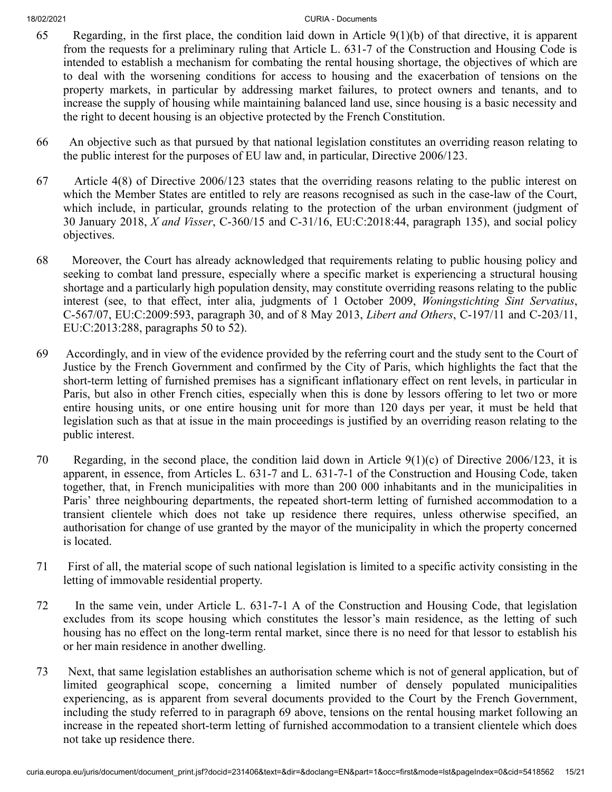- 65 Regarding, in the first place, the condition laid down in Article 9(1)(b) of that directive, it is apparent from the requests for a preliminary ruling that Article L. 631-7 of the Construction and Housing Code is intended to establish a mechanism for combating the rental housing shortage, the objectives of which are to deal with the worsening conditions for access to housing and the exacerbation of tensions on the property markets, in particular by addressing market failures, to protect owners and tenants, and to increase the supply of housing while maintaining balanced land use, since housing is a basic necessity and the right to decent housing is an objective protected by the French Constitution.
- 66 An objective such as that pursued by that national legislation constitutes an overriding reason relating to the public interest for the purposes of EU law and, in particular, Directive 2006/123.
- 67 Article 4(8) of Directive 2006/123 states that the overriding reasons relating to the public interest on which the Member States are entitled to rely are reasons recognised as such in the case-law of the Court, which include, in particular, grounds relating to the protection of the urban environment (judgment of 30 January 2018, *X and Visser*, C‑360/15 and C‑31/16, EU:C:2018:44, paragraph 135), and social policy objectives.
- 68 Moreover, the Court has already acknowledged that requirements relating to public housing policy and seeking to combat land pressure, especially where a specific market is experiencing a structural housing shortage and a particularly high population density, may constitute overriding reasons relating to the public interest (see, to that effect, inter alia, judgments of 1 October 2009, *Woningstichting Sint Servatius*, C‑567/07, EU:C:2009:593, paragraph 30, and of 8 May 2013, *Libert and Others*, C‑197/11 and C‑203/11, EU:C:2013:288, paragraphs 50 to 52).
- 69 Accordingly, and in view of the evidence provided by the referring court and the study sent to the Court of Justice by the French Government and confirmed by the City of Paris, which highlights the fact that the short-term letting of furnished premises has a significant inflationary effect on rent levels, in particular in Paris, but also in other French cities, especially when this is done by lessors offering to let two or more entire housing units, or one entire housing unit for more than 120 days per year, it must be held that legislation such as that at issue in the main proceedings is justified by an overriding reason relating to the public interest.
- 70 Regarding, in the second place, the condition laid down in Article  $9(1)(c)$  of Directive 2006/123, it is apparent, in essence, from Articles L. 631‑7 and L. 631‑7‑1 of the Construction and Housing Code, taken together, that, in French municipalities with more than 200 000 inhabitants and in the municipalities in Paris' three neighbouring departments, the repeated short-term letting of furnished accommodation to a transient clientele which does not take up residence there requires, unless otherwise specified, an authorisation for change of use granted by the mayor of the municipality in which the property concerned is located.
- 71 First of all, the material scope of such national legislation is limited to a specific activity consisting in the letting of immovable residential property.
- 72 In the same vein, under Article L. 631‑7‑1 A of the Construction and Housing Code, that legislation excludes from its scope housing which constitutes the lessor's main residence, as the letting of such housing has no effect on the long-term rental market, since there is no need for that lessor to establish his or her main residence in another dwelling.
- 73 Next, that same legislation establishes an authorisation scheme which is not of general application, but of limited geographical scope, concerning a limited number of densely populated municipalities experiencing, as is apparent from several documents provided to the Court by the French Government, including the study referred to in paragraph 69 above, tensions on the rental housing market following an increase in the repeated short-term letting of furnished accommodation to a transient clientele which does not take up residence there.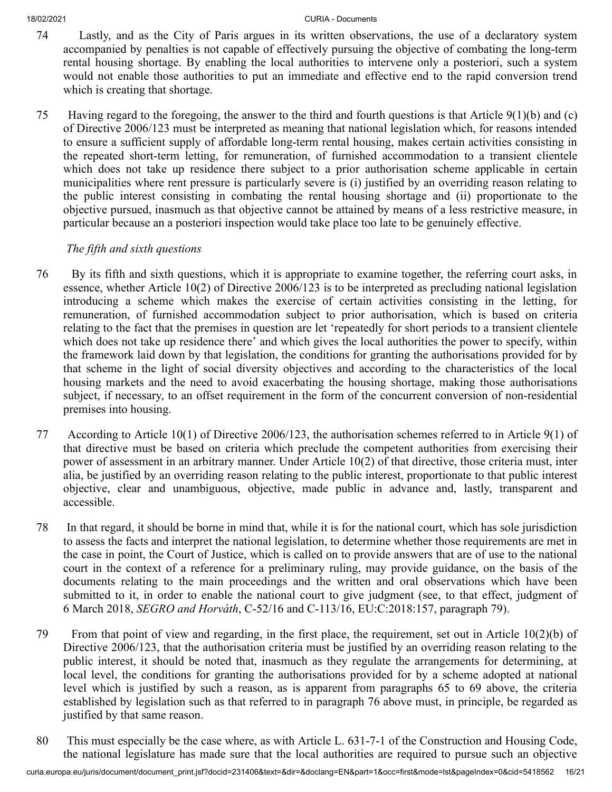- 74 Lastly, and as the City of Paris argues in its written observations, the use of a declaratory system accompanied by penalties is not capable of effectively pursuing the objective of combating the long-term rental housing shortage. By enabling the local authorities to intervene only a posteriori, such a system would not enable those authorities to put an immediate and effective end to the rapid conversion trend which is creating that shortage.
- 75 Having regard to the foregoing, the answer to the third and fourth questions is that Article 9(1)(b) and (c) of Directive 2006/123 must be interpreted as meaning that national legislation which, for reasons intended to ensure a sufficient supply of affordable long-term rental housing, makes certain activities consisting in the repeated short-term letting, for remuneration, of furnished accommodation to a transient clientele which does not take up residence there subject to a prior authorisation scheme applicable in certain municipalities where rent pressure is particularly severe is (i) justified by an overriding reason relating to the public interest consisting in combating the rental housing shortage and (ii) proportionate to the objective pursued, inasmuch as that objective cannot be attained by means of a less restrictive measure, in particular because an a posteriori inspection would take place too late to be genuinely effective.

# *The fifth and sixth questions*

- 76 By its fifth and sixth questions, which it is appropriate to examine together, the referring court asks, in essence, whether Article 10(2) of Directive 2006/123 is to be interpreted as precluding national legislation introducing a scheme which makes the exercise of certain activities consisting in the letting, for remuneration, of furnished accommodation subject to prior authorisation, which is based on criteria relating to the fact that the premises in question are let 'repeatedly for short periods to a transient clientele which does not take up residence there' and which gives the local authorities the power to specify, within the framework laid down by that legislation, the conditions for granting the authorisations provided for by that scheme in the light of social diversity objectives and according to the characteristics of the local housing markets and the need to avoid exacerbating the housing shortage, making those authorisations subject, if necessary, to an offset requirement in the form of the concurrent conversion of non-residential premises into housing.
- 77 According to Article 10(1) of Directive 2006/123, the authorisation schemes referred to in Article 9(1) of that directive must be based on criteria which preclude the competent authorities from exercising their power of assessment in an arbitrary manner. Under Article 10(2) of that directive, those criteria must, inter alia, be justified by an overriding reason relating to the public interest, proportionate to that public interest objective, clear and unambiguous, objective, made public in advance and, lastly, transparent and accessible.
- 78 In that regard, it should be borne in mind that, while it is for the national court, which has sole jurisdiction to assess the facts and interpret the national legislation, to determine whether those requirements are met in the case in point, the Court of Justice, which is called on to provide answers that are of use to the national court in the context of a reference for a preliminary ruling, may provide guidance, on the basis of the documents relating to the main proceedings and the written and oral observations which have been submitted to it, in order to enable the national court to give judgment (see, to that effect, judgment of 6 March 2018, *SEGRO and Horváth*, C‑52/16 and C‑113/16, EU:C:2018:157, paragraph 79).
- 79 From that point of view and regarding, in the first place, the requirement, set out in Article 10(2)(b) of Directive 2006/123, that the authorisation criteria must be justified by an overriding reason relating to the public interest, it should be noted that, inasmuch as they regulate the arrangements for determining, at local level, the conditions for granting the authorisations provided for by a scheme adopted at national level which is justified by such a reason, as is apparent from paragraphs 65 to 69 above, the criteria established by legislation such as that referred to in paragraph 76 above must, in principle, be regarded as justified by that same reason.
- 80 This must especially be the case where, as with Article L. 631-7-1 of the Construction and Housing Code, the national legislature has made sure that the local authorities are required to pursue such an objective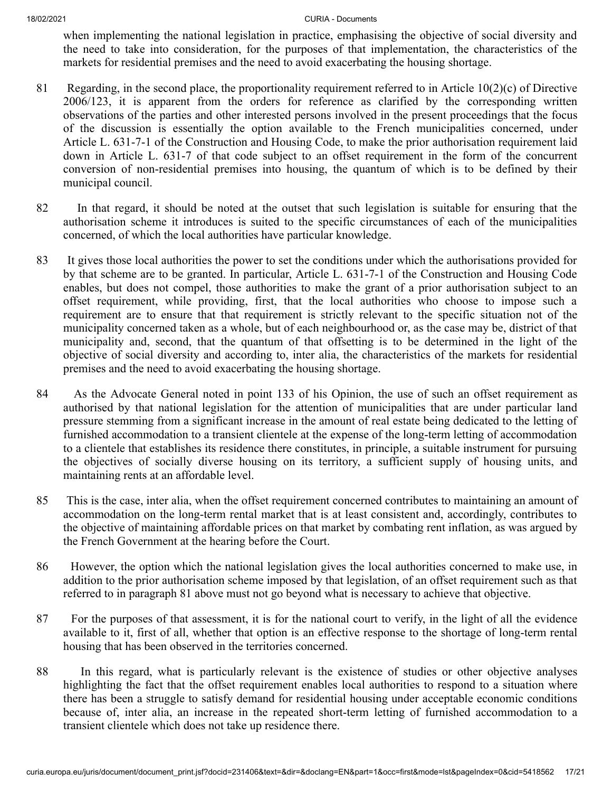when implementing the national legislation in practice, emphasising the objective of social diversity and the need to take into consideration, for the purposes of that implementation, the characteristics of the markets for residential premises and the need to avoid exacerbating the housing shortage.

- 81 Regarding, in the second place, the proportionality requirement referred to in Article 10(2)(c) of Directive 2006/123, it is apparent from the orders for reference as clarified by the corresponding written observations of the parties and other interested persons involved in the present proceedings that the focus of the discussion is essentially the option available to the French municipalities concerned, under Article L. 631-7-1 of the Construction and Housing Code, to make the prior authorisation requirement laid down in Article L. 631-7 of that code subject to an offset requirement in the form of the concurrent conversion of non-residential premises into housing, the quantum of which is to be defined by their municipal council.
- 82 In that regard, it should be noted at the outset that such legislation is suitable for ensuring that the authorisation scheme it introduces is suited to the specific circumstances of each of the municipalities concerned, of which the local authorities have particular knowledge.
- 83 It gives those local authorities the power to set the conditions under which the authorisations provided for by that scheme are to be granted. In particular, Article L. 631‑7‑1 of the Construction and Housing Code enables, but does not compel, those authorities to make the grant of a prior authorisation subject to an offset requirement, while providing, first, that the local authorities who choose to impose such a requirement are to ensure that that requirement is strictly relevant to the specific situation not of the municipality concerned taken as a whole, but of each neighbourhood or, as the case may be, district of that municipality and, second, that the quantum of that offsetting is to be determined in the light of the objective of social diversity and according to, inter alia, the characteristics of the markets for residential premises and the need to avoid exacerbating the housing shortage.
- 84 As the Advocate General noted in point 133 of his Opinion, the use of such an offset requirement as authorised by that national legislation for the attention of municipalities that are under particular land pressure stemming from a significant increase in the amount of real estate being dedicated to the letting of furnished accommodation to a transient clientele at the expense of the long-term letting of accommodation to a clientele that establishes its residence there constitutes, in principle, a suitable instrument for pursuing the objectives of socially diverse housing on its territory, a sufficient supply of housing units, and maintaining rents at an affordable level.
- 85 This is the case, inter alia, when the offset requirement concerned contributes to maintaining an amount of accommodation on the long-term rental market that is at least consistent and, accordingly, contributes to the objective of maintaining affordable prices on that market by combating rent inflation, as was argued by the French Government at the hearing before the Court.
- 86 However, the option which the national legislation gives the local authorities concerned to make use, in addition to the prior authorisation scheme imposed by that legislation, of an offset requirement such as that referred to in paragraph 81 above must not go beyond what is necessary to achieve that objective.
- 87 For the purposes of that assessment, it is for the national court to verify, in the light of all the evidence available to it, first of all, whether that option is an effective response to the shortage of long-term rental housing that has been observed in the territories concerned.
- 88 In this regard, what is particularly relevant is the existence of studies or other objective analyses highlighting the fact that the offset requirement enables local authorities to respond to a situation where there has been a struggle to satisfy demand for residential housing under acceptable economic conditions because of, inter alia, an increase in the repeated short-term letting of furnished accommodation to a transient clientele which does not take up residence there.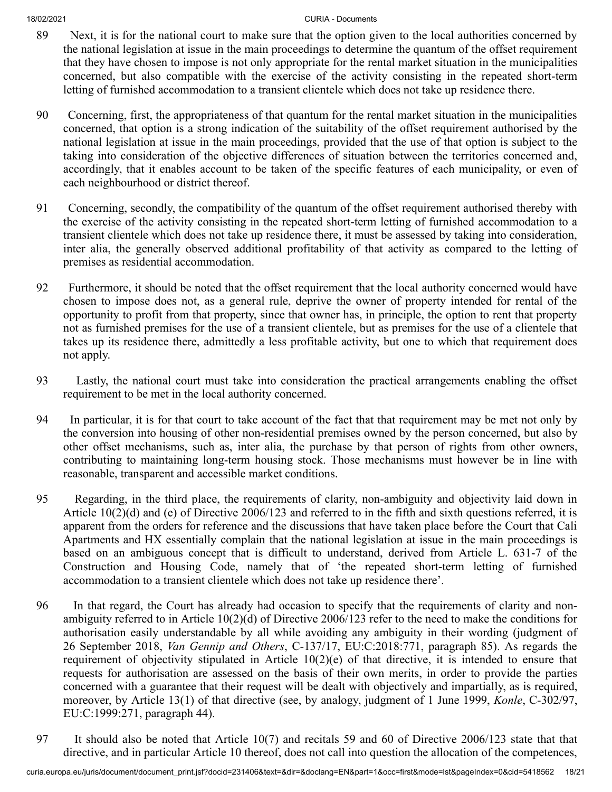- 89 Next, it is for the national court to make sure that the option given to the local authorities concerned by the national legislation at issue in the main proceedings to determine the quantum of the offset requirement that they have chosen to impose is not only appropriate for the rental market situation in the municipalities concerned, but also compatible with the exercise of the activity consisting in the repeated short-term letting of furnished accommodation to a transient clientele which does not take up residence there.
- 90 Concerning, first, the appropriateness of that quantum for the rental market situation in the municipalities concerned, that option is a strong indication of the suitability of the offset requirement authorised by the national legislation at issue in the main proceedings, provided that the use of that option is subject to the taking into consideration of the objective differences of situation between the territories concerned and, accordingly, that it enables account to be taken of the specific features of each municipality, or even of each neighbourhood or district thereof.
- 91 Concerning, secondly, the compatibility of the quantum of the offset requirement authorised thereby with the exercise of the activity consisting in the repeated short-term letting of furnished accommodation to a transient clientele which does not take up residence there, it must be assessed by taking into consideration, inter alia, the generally observed additional profitability of that activity as compared to the letting of premises as residential accommodation.
- 92 Furthermore, it should be noted that the offset requirement that the local authority concerned would have chosen to impose does not, as a general rule, deprive the owner of property intended for rental of the opportunity to profit from that property, since that owner has, in principle, the option to rent that property not as furnished premises for the use of a transient clientele, but as premises for the use of a clientele that takes up its residence there, admittedly a less profitable activity, but one to which that requirement does not apply.
- 93 Lastly, the national court must take into consideration the practical arrangements enabling the offset requirement to be met in the local authority concerned.
- 94 In particular, it is for that court to take account of the fact that that requirement may be met not only by the conversion into housing of other non-residential premises owned by the person concerned, but also by other offset mechanisms, such as, inter alia, the purchase by that person of rights from other owners, contributing to maintaining long-term housing stock. Those mechanisms must however be in line with reasonable, transparent and accessible market conditions.
- 95 Regarding, in the third place, the requirements of clarity, non-ambiguity and objectivity laid down in Article 10(2)(d) and (e) of Directive 2006/123 and referred to in the fifth and sixth questions referred, it is apparent from the orders for reference and the discussions that have taken place before the Court that Cali Apartments and HX essentially complain that the national legislation at issue in the main proceedings is based on an ambiguous concept that is difficult to understand, derived from Article L. 631-7 of the Construction and Housing Code, namely that of 'the repeated short-term letting of furnished accommodation to a transient clientele which does not take up residence there'.
- 96 In that regard, the Court has already had occasion to specify that the requirements of clarity and nonambiguity referred to in Article 10(2)(d) of Directive 2006/123 refer to the need to make the conditions for authorisation easily understandable by all while avoiding any ambiguity in their wording (judgment of 26 September 2018, *Van Gennip and Others*, C‑137/17, EU:C:2018:771, paragraph 85). As regards the requirement of objectivity stipulated in Article 10(2)(e) of that directive, it is intended to ensure that requests for authorisation are assessed on the basis of their own merits, in order to provide the parties concerned with a guarantee that their request will be dealt with objectively and impartially, as is required, moreover, by Article 13(1) of that directive (see, by analogy, judgment of 1 June 1999, *Konle*, C‑302/97, EU:C:1999:271, paragraph 44).
- 97 It should also be noted that Article 10(7) and recitals 59 and 60 of Directive 2006/123 state that that directive, and in particular Article 10 thereof, does not call into question the allocation of the competences,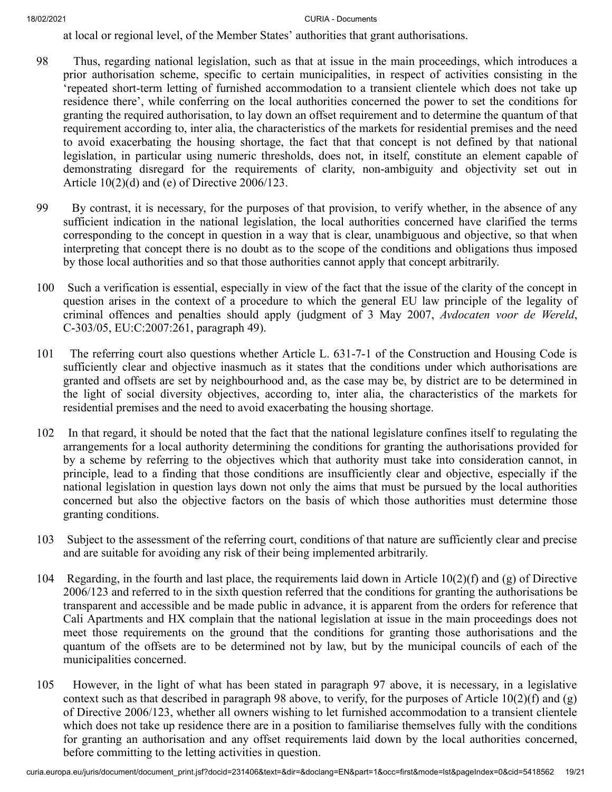at local or regional level, of the Member States' authorities that grant authorisations.

- 98 Thus, regarding national legislation, such as that at issue in the main proceedings, which introduces a prior authorisation scheme, specific to certain municipalities, in respect of activities consisting in the 'repeated short-term letting of furnished accommodation to a transient clientele which does not take up residence there', while conferring on the local authorities concerned the power to set the conditions for granting the required authorisation, to lay down an offset requirement and to determine the quantum of that requirement according to, inter alia, the characteristics of the markets for residential premises and the need to avoid exacerbating the housing shortage, the fact that that concept is not defined by that national legislation, in particular using numeric thresholds, does not, in itself, constitute an element capable of demonstrating disregard for the requirements of clarity, non-ambiguity and objectivity set out in Article 10(2)(d) and (e) of Directive 2006/123.
- 99 By contrast, it is necessary, for the purposes of that provision, to verify whether, in the absence of any sufficient indication in the national legislation, the local authorities concerned have clarified the terms corresponding to the concept in question in a way that is clear, unambiguous and objective, so that when interpreting that concept there is no doubt as to the scope of the conditions and obligations thus imposed by those local authorities and so that those authorities cannot apply that concept arbitrarily.
- 100 Such a verification is essential, especially in view of the fact that the issue of the clarity of the concept in question arises in the context of a procedure to which the general EU law principle of the legality of criminal offences and penalties should apply (judgment of 3 May 2007, *Avdocaten voor de Wereld*, C‑303/05, EU:C:2007:261, paragraph 49).
- 101 The referring court also questions whether Article L. 631-7-1 of the Construction and Housing Code is sufficiently clear and objective inasmuch as it states that the conditions under which authorisations are granted and offsets are set by neighbourhood and, as the case may be, by district are to be determined in the light of social diversity objectives, according to, inter alia, the characteristics of the markets for residential premises and the need to avoid exacerbating the housing shortage.
- 102 In that regard, it should be noted that the fact that the national legislature confines itself to regulating the arrangements for a local authority determining the conditions for granting the authorisations provided for by a scheme by referring to the objectives which that authority must take into consideration cannot, in principle, lead to a finding that those conditions are insufficiently clear and objective, especially if the national legislation in question lays down not only the aims that must be pursued by the local authorities concerned but also the objective factors on the basis of which those authorities must determine those granting conditions.
- 103 Subject to the assessment of the referring court, conditions of that nature are sufficiently clear and precise and are suitable for avoiding any risk of their being implemented arbitrarily.
- 104 Regarding, in the fourth and last place, the requirements laid down in Article 10(2)(f) and (g) of Directive 2006/123 and referred to in the sixth question referred that the conditions for granting the authorisations be transparent and accessible and be made public in advance, it is apparent from the orders for reference that Cali Apartments and HX complain that the national legislation at issue in the main proceedings does not meet those requirements on the ground that the conditions for granting those authorisations and the quantum of the offsets are to be determined not by law, but by the municipal councils of each of the municipalities concerned.
- 105 However, in the light of what has been stated in paragraph 97 above, it is necessary, in a legislative context such as that described in paragraph 98 above, to verify, for the purposes of Article 10(2)(f) and (g) of Directive 2006/123, whether all owners wishing to let furnished accommodation to a transient clientele which does not take up residence there are in a position to familiarise themselves fully with the conditions for granting an authorisation and any offset requirements laid down by the local authorities concerned, before committing to the letting activities in question.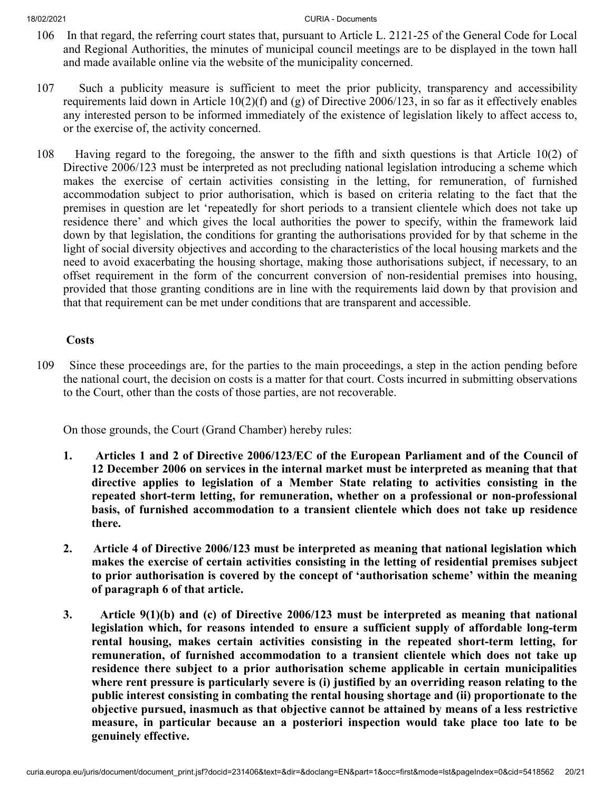- 106 In that regard, the referring court states that, pursuant to Article L. 2121‑25 of the General Code for Local and Regional Authorities, the minutes of municipal council meetings are to be displayed in the town hall and made available online via the website of the municipality concerned.
- 107 Such a publicity measure is sufficient to meet the prior publicity, transparency and accessibility requirements laid down in Article  $10(2)(f)$  and (g) of Directive 2006/123, in so far as it effectively enables any interested person to be informed immediately of the existence of legislation likely to affect access to, or the exercise of, the activity concerned.
- 108 Having regard to the foregoing, the answer to the fifth and sixth questions is that Article 10(2) of Directive 2006/123 must be interpreted as not precluding national legislation introducing a scheme which makes the exercise of certain activities consisting in the letting, for remuneration, of furnished accommodation subject to prior authorisation, which is based on criteria relating to the fact that the premises in question are let 'repeatedly for short periods to a transient clientele which does not take up residence there' and which gives the local authorities the power to specify, within the framework laid down by that legislation, the conditions for granting the authorisations provided for by that scheme in the light of social diversity objectives and according to the characteristics of the local housing markets and the need to avoid exacerbating the housing shortage, making those authorisations subject, if necessary, to an offset requirement in the form of the concurrent conversion of non-residential premises into housing, provided that those granting conditions are in line with the requirements laid down by that provision and that that requirement can be met under conditions that are transparent and accessible.

## **Costs**

109 Since these proceedings are, for the parties to the main proceedings, a step in the action pending before the national court, the decision on costs is a matter for that court. Costs incurred in submitting observations to the Court, other than the costs of those parties, are not recoverable.

On those grounds, the Court (Grand Chamber) hereby rules:

- **1. Articles 1 and 2 of Directive 2006/123/EC of the European Parliament and of the Council of 12 December 2006 on services in the internal market must be interpreted as meaning that that directive applies to legislation of a Member State relating to activities consisting in the repeated short-term letting, for remuneration, whether on a professional or non-professional basis, of furnished accommodation to a transient clientele which does not take up residence there.**
- **2. Article 4 of Directive 2006/123 must be interpreted as meaning that national legislation which makes the exercise of certain activities consisting in the letting of residential premises subject to prior authorisation is covered by the concept of 'authorisation scheme' within the meaning of paragraph 6 of that article.**
- **3. Article 9(1)(b) and (c) of Directive 2006/123 must be interpreted as meaning that national legislation which, for reasons intended to ensure a sufficient supply of affordable long-term rental housing, makes certain activities consisting in the repeated short-term letting, for remuneration, of furnished accommodation to a transient clientele which does not take up residence there subject to a prior authorisation scheme applicable in certain municipalities where rent pressure is particularly severe is (i) justified by an overriding reason relating to the public interest consisting in combating the rental housing shortage and (ii) proportionate to the objective pursued, inasmuch as that objective cannot be attained by means of a less restrictive measure, in particular because an a posteriori inspection would take place too late to be genuinely effective.**